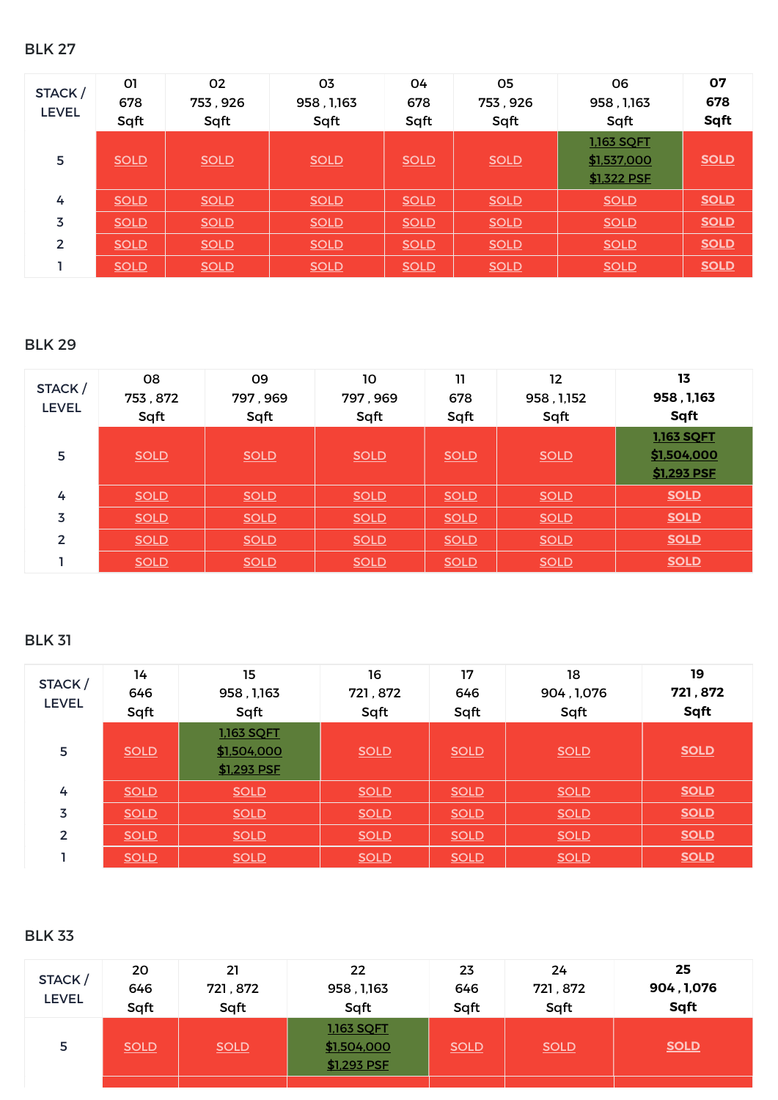| STACK/<br><b>LEVEL</b> | O1<br>678<br>Sqft | 02<br>753, 926<br>Sqft | 03<br>958, 1, 163<br>Sqft | O4<br>678<br>Sqft | 05<br>753, 926<br>Sqft | 06<br>958, 1, 163<br>Sqft                | 07<br>678<br>Sqft |
|------------------------|-------------------|------------------------|---------------------------|-------------------|------------------------|------------------------------------------|-------------------|
| 5                      | <b>SOLD</b>       | <b>SOLD</b>            | <b>SOLD</b>               | <b>SOLD</b>       | <b>SOLD</b>            | 1.163 SOFT<br>\$1,537,000<br>\$1,322 PSF | <b>SOLD</b>       |
| 4                      | <b>SOLD</b>       | <b>SOLD</b>            | <b>SOLD</b>               | <b>SOLD</b>       | <b>SOLD</b>            | <b>SOLD</b>                              | <b>SOLD</b>       |
| 3                      | <b>SOLD</b>       | <b>SOLD</b>            | <b>SOLD</b>               | <b>SOLD</b>       | <b>SOLD</b>            | <b>SOLD</b>                              | <b>SOLD</b>       |
| $\overline{2}$         | <b>SOLD</b>       | <b>SOLD</b>            | <b>SOLD</b>               | <b>SOLD</b>       | <b>SOLD</b>            | <b>SOLD</b>                              | <b>SOLD</b>       |
|                        | <b>SOLD</b>       | <b>SOLD</b>            | <b>SOLD</b>               | <b>SOLD</b>       | <b>SOLD</b>            | <b>SOLD</b>                              | <b>SOLD</b>       |

# BLK 29

| STACK/<br><b>LEVEL</b> | 08<br>753, 872<br>Sqft | 09<br>797, 969<br>Sqft | 10<br>797, 969<br>Sqft | 11<br>678<br>Sqft | 12<br>958, 1, 152<br>Sqft | 13<br>958, 1, 163<br>Sqft                |
|------------------------|------------------------|------------------------|------------------------|-------------------|---------------------------|------------------------------------------|
| 5                      | <b>SOLD</b>            | <b>SOLD</b>            | <b>SOLD</b>            | <b>SOLD</b>       | <b>SOLD</b>               | 1,163 SQFT<br>\$1,504,000<br>\$1,293 PSF |
| 4                      | <b>SOLD</b>            | <b>SOLD</b>            | <b>SOLD</b>            | <b>SOLD</b>       | <b>SOLD</b>               | <b>SOLD</b>                              |
| 3                      | <b>SOLD</b>            | <b>SOLD</b>            | <b>SOLD</b>            | <b>SOLD</b>       | <b>SOLD</b>               | <b>SOLD</b>                              |
| $\overline{2}$         | <b>SOLD</b>            | <b>SOLD</b>            | <b>SOLD</b>            | <b>SOLD</b>       | <b>SOLD</b>               | <b>SOLD</b>                              |
|                        | <b>SOLD</b>            | <b>SOLD</b>            | <b>SOLD</b>            | <b>SOLD</b>       | <b>SOLD</b>               | <b>SOLD</b>                              |

# BLK 31

| STACK/<br><b>LEVEL</b> | 14<br>646<br>Sqft | 15<br>958, 1, 163<br>Sqft                | 16<br>721, 872<br>Sqft | 17<br>646<br>Sqft | 18<br>904, 1,076<br>Sqft | 19<br>721, 872<br>Sqft |
|------------------------|-------------------|------------------------------------------|------------------------|-------------------|--------------------------|------------------------|
| 5                      | <b>SOLD</b>       | 1,163 SQFT<br>\$1,504,000<br>\$1,293 PSF | <b>SOLD</b>            | <b>SOLD</b>       | <b>SOLD</b>              | <b>SOLD</b>            |
| 4                      | <b>SOLD</b>       | <b>SOLD</b>                              | <b>SOLD</b>            | <b>SOLD</b>       | <b>SOLD</b>              | <b>SOLD</b>            |
| 3                      | <b>SOLD</b>       | <b>SOLD</b>                              | <b>SOLD</b>            | <b>SOLD</b>       | <b>SOLD</b>              | <b>SOLD</b>            |
| $\overline{2}$         | <u>SOLD</u>       | <b>SOLD</b>                              | <b>SOLD</b>            | <b>SOLD</b>       | <b>SOLD</b>              | <b>SOLD</b>            |
|                        | <u>SOLD</u>       | <b>SOLD</b>                              | <b>SOLD</b>            | <b>SOLD</b>       | <b>SOLD</b>              | <b>SOLD</b>            |

| STACK/<br><b>LEVEL</b> | 20<br>646<br>Sqft | 21<br>721, 872<br>Sqft | 22<br>958, 1, 163<br>Sqft                | 23<br>646<br>Sqft | 24<br>721, 872<br>Sqft | 25<br>904, 1,076<br>Sqft |
|------------------------|-------------------|------------------------|------------------------------------------|-------------------|------------------------|--------------------------|
| 5                      | <b>SOLD</b>       | <b>SOLD</b>            | 1,163 SQFT<br>\$1,504,000<br>\$1,293 PSF | <b>SOLD</b>       | <b>SOLD</b>            | <b>SOLD</b>              |
|                        |                   |                        |                                          |                   |                        |                          |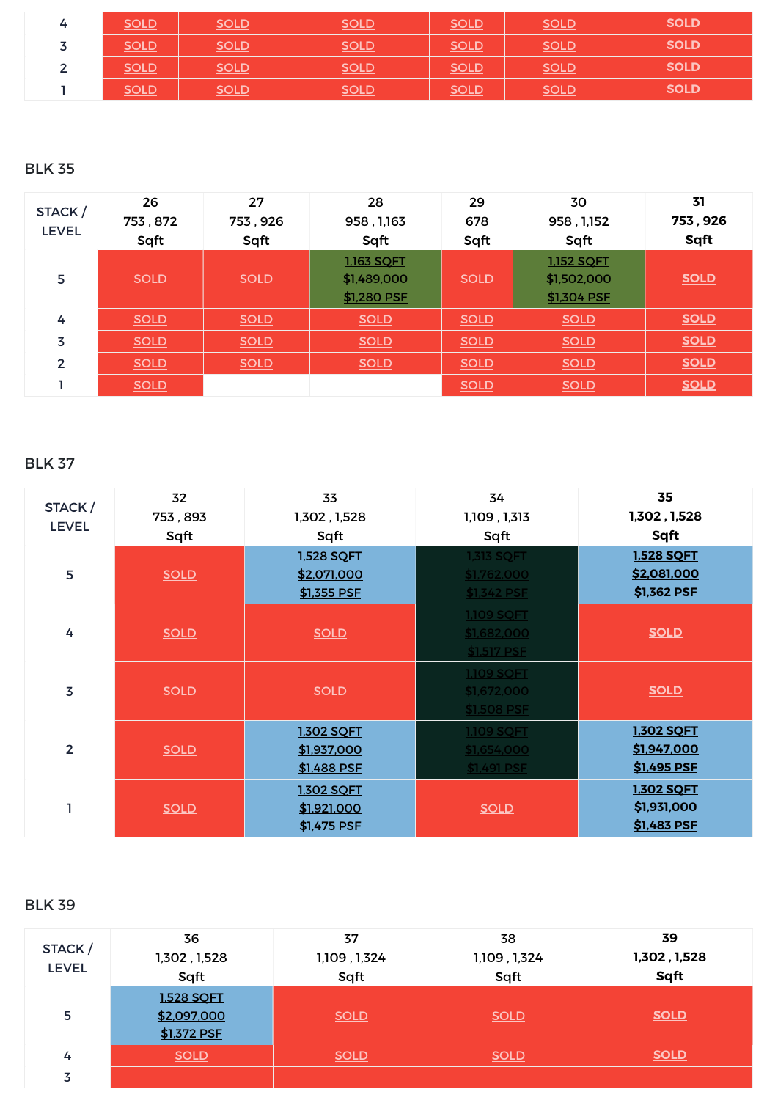| 4              | <u>SOLD</u> | <u>SOLD</u> | <b>SOLD</b> | <b>SOLD</b> | <b>SOLD</b> | <b>SOLD</b> |
|----------------|-------------|-------------|-------------|-------------|-------------|-------------|
| 3              | <b>SOLD</b> | <u>SOLD</u> | <b>SOLD</b> | <u>SOLD</u> | <b>SOLD</b> | <b>SOLD</b> |
| $\overline{2}$ | <b>SOLD</b> | <b>SOLD</b> | <b>SOLD</b> | <b>SOLD</b> | <b>SOLD</b> | <b>SOLD</b> |
|                | <u>SOLD</u> | <b>SOLD</b> | <b>SOLD</b> | <b>SOLD</b> | <u>SOLD</u> | <b>SOLD</b> |

| STACK/<br><b>LEVEL</b> | 26<br>753, 872<br>Sqft | 27<br>753, 926<br>Sqft | 28<br>958, 1, 163<br>Sqft                | 29<br>678<br>Sqft | 30<br>958, 1, 152<br>Sqft                | 31<br>753,926<br>Sqft |
|------------------------|------------------------|------------------------|------------------------------------------|-------------------|------------------------------------------|-----------------------|
| 5                      | <b>SOLD</b>            | <b>SOLD</b>            | 1,163 SQFT<br>\$1,489,000<br>\$1,280 PSF | <b>SOLD</b>       | 1,152 SQFT<br>\$1,502,000<br>\$1,304 PSF | <b>SOLD</b>           |
| 4                      | <b>SOLD</b>            | <b>SOLD</b>            | <b>SOLD</b>                              | <b>SOLD</b>       | <b>SOLD</b>                              | <b>SOLD</b>           |
| 3                      | <b>SOLD</b>            | <b>SOLD</b>            | <b>SOLD</b>                              | <b>SOLD</b>       | <b>SOLD</b>                              | <b>SOLD</b>           |
| 2                      | <b>SOLD</b>            | <b>SOLD</b>            | <b>SOLD</b>                              | <b>SOLD</b>       | <b>SOLD</b>                              | <b>SOLD</b>           |
|                        | <b>SOLD</b>            |                        |                                          | <b>SOLD</b>       | <b>SOLD</b>                              | <b>SOLD</b>           |

#### BLK 37

| STACK/<br><b>LEVEL</b> | 32<br>753, 893<br>Sqft | 33<br>1,302, 1,528<br>Sqft               | 34<br>1,109, 1,313<br>Sqft                      | 35<br>1,302, 1,528<br>Sqft                             |
|------------------------|------------------------|------------------------------------------|-------------------------------------------------|--------------------------------------------------------|
| 5                      | <b>SOLD</b>            | 1,528 SQFT<br>\$2,071,000<br>\$1,355 PSF | 1,313 SQFT<br>\$1,762,000<br>\$1,342 PSE        | 1,528 SQFT<br>\$2,081,000<br>\$1,362 PSF               |
| 4                      | <b>SOLD</b>            | <b>SOLD</b>                              | <b>1.109 SQFT</b><br>\$1,682,000<br>\$1,517 PSF | <b>SOLD</b>                                            |
| $\overline{3}$         | <b>SOLD</b>            | <b>SOLD</b>                              | <b>1.109 SQFT</b><br>\$1,672,000<br>\$1,508 PSF | <b>SOLD</b>                                            |
| $\overline{2}$         | <b>SOLD</b>            | 1,302 SQFT<br>\$1,937,000<br>\$1,488 PSF | <b>1.109 SQFT</b><br>\$1,654,000<br>\$1,491 PSF | 1,302 SQFT<br>\$1,947,000<br>\$1,495 PSF               |
|                        | <b>SOLD</b>            | 1,302 SQFT<br>\$1,921,000<br>\$1,475 PSF | <b>SOLD</b>                                     | <b>1.302 SQFT</b><br>\$1,931,000<br><b>\$1,483 PSF</b> |

| STACK/<br><b>LEVEL</b> | 36<br>1,302, 1,528<br>Sqft               | 37<br>1,109, 1,324<br>Sqft | 38<br>1,109, 1,324<br>Sqft | 39<br>1,302, 1,528<br>Sqft |
|------------------------|------------------------------------------|----------------------------|----------------------------|----------------------------|
| 5                      | 1,528 SQFT<br>\$2,097,000<br>\$1,372 PSF | <b>SOLD</b>                | <b>SOLD</b>                | <b>SOLD</b>                |
| 4                      | <b>SOLD</b>                              | <b>SOLD</b>                | <b>SOLD</b>                | <b>SOLD</b>                |
| 3                      |                                          |                            |                            |                            |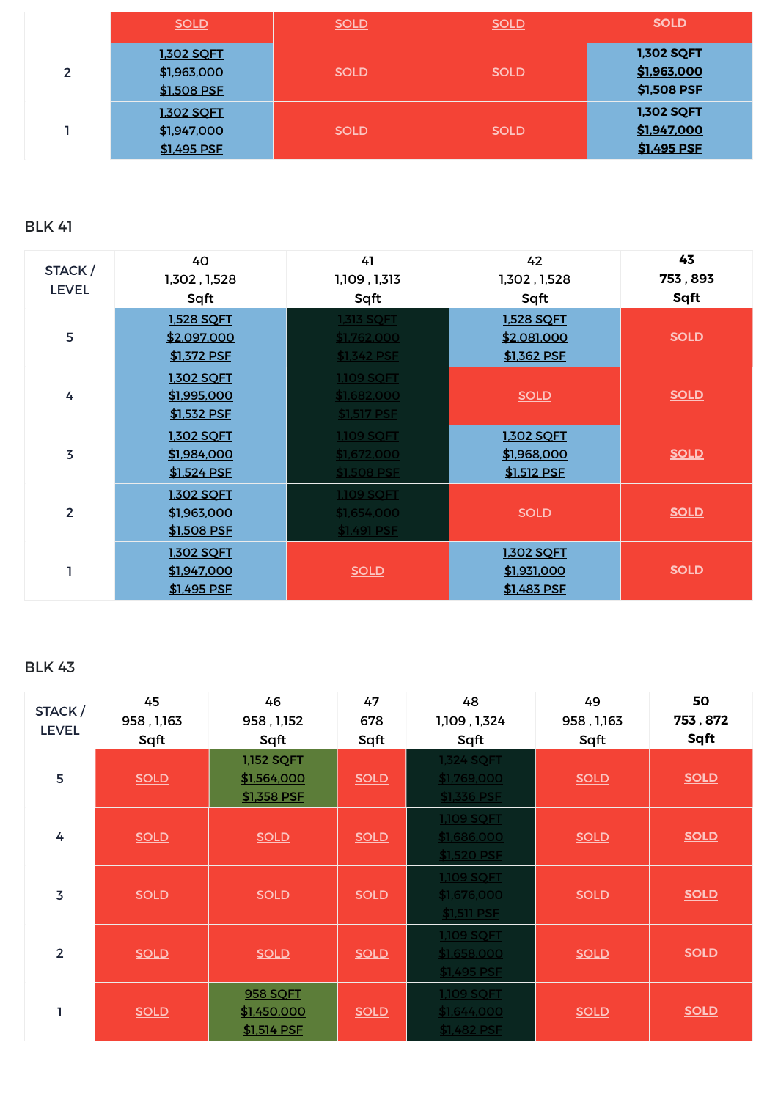|   | <b>SOLD</b>                              | <b>SOLD</b> | <b>SOLD</b> | <b>SOLD</b>                                     |
|---|------------------------------------------|-------------|-------------|-------------------------------------------------|
| 2 | 1,302 SQFT<br>\$1,963,000<br>\$1,508 PSF | <b>SOLD</b> | <b>SOLD</b> | <u>1,302 SQFT</u><br>\$1,963,000<br>\$1,508 PSF |
|   | 1,302 SQFT<br>\$1,947,000<br>\$1,495 PSF | <b>SOLD</b> | <b>SOLD</b> | <u>1,302 SQFT</u><br>\$1,947,000<br>\$1,495 PSF |

| STACK/<br><b>LEVEL</b> | 40<br>1,302, 1,528<br>Sqft               | 41<br>1,109, 1,313<br>Sqft                      | 42<br>1,302, 1,528<br>Sqft               | 43<br>753,893<br>Sqft |
|------------------------|------------------------------------------|-------------------------------------------------|------------------------------------------|-----------------------|
| 5                      | 1,528 SQFT<br>\$2,097,000<br>\$1,372 PSF | 1,313 SQFT<br>\$1,762,000<br>\$1,342 PSF        | 1,528 SQFT<br>\$2,081,000<br>\$1,362 PSF | <b>SOLD</b>           |
| 4                      | 1,302 SQFT<br>\$1,995,000<br>\$1,532 PSF | 1.109 SQFT<br>\$1,682,000<br>\$1,517 PSF        | <b>SOLD</b>                              | <b>SOLD</b>           |
| 3                      | 1,302 SQFT<br>\$1,984,000<br>\$1,524 PSF | 1,109 SQFT<br>\$1,672,000<br>\$1,508 PSF        | 1,302 SQFT<br>\$1,968,000<br>\$1,512 PSF | <b>SOLD</b>           |
| $\overline{2}$         | 1,302 SQFT<br>\$1,963,000<br>\$1,508 PSF | <b>1.109 SQFT</b><br>\$1,654,000<br>\$1,491 PSF | <b>SOLD</b>                              | <b>SOLD</b>           |
|                        | 1,302 SQFT<br>\$1,947,000<br>\$1,495 PSF | <b>SOLD</b>                                     | 1,302 SQFT<br>\$1,931,000<br>\$1,483 PSF | <b>SOLD</b>           |

| STACK/<br><b>LEVEL</b> | 45<br>958, 1, 163<br>Sqft | 46<br>958, 1, 152<br>Sqft                       | 47<br>678<br>Sqft | 48<br>1,109, 1,324<br>Sqft                      | 49<br>958, 1, 163<br>Sqft | 50<br>753,872<br>Sqft |
|------------------------|---------------------------|-------------------------------------------------|-------------------|-------------------------------------------------|---------------------------|-----------------------|
| 5                      | <b>SOLD</b>               | <b>1.152 SQFT</b><br>\$1,564,000<br>\$1,358 PSF | <b>SOLD</b>       | <b>1,324 SQFT</b><br>\$1,769,000<br>\$1,336 PSE | <b>SOLD</b>               | <b>SOLD</b>           |
| 4                      | <b>SOLD</b>               | <b>SOLD</b>                                     | <b>SOLD</b>       | <b>1.109 SQFT</b><br>\$1,686,000<br>\$1,520 PSF | <b>SOLD</b>               | <b>SOLD</b>           |
| 3                      | <b>SOLD</b>               | <b>SOLD</b>                                     | <b>SOLD</b>       | 1.109 SQFT<br>\$1,676,000<br>\$1,511 PSE        | <b>SOLD</b>               | <b>SOLD</b>           |
| $\overline{2}$         | <b>SOLD</b>               | <b>SOLD</b>                                     | <b>SOLD</b>       | <b>1.109 SQFT</b><br>\$1,658,000<br>\$1,495 PSF | <b>SOLD</b>               | <b>SOLD</b>           |
|                        | <b>SOLD</b>               | <b>958 SOFT</b><br>\$1,450,000<br>\$1,514 PSF   | <b>SOLD</b>       | <b>1.109 SQFT</b><br>\$1,644,000<br>\$1,482 PSF | <b>SOLD</b>               | <b>SOLD</b>           |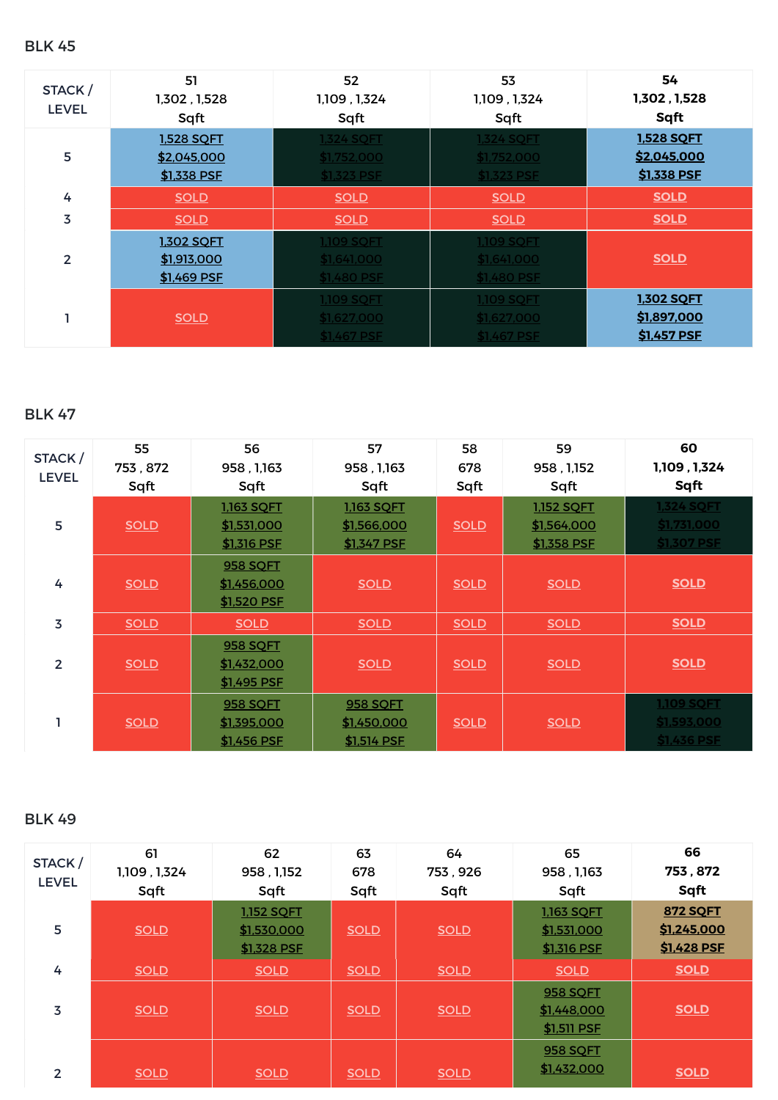| STACK/<br><b>LEVEL</b> | 51<br>1,302, 1,528<br>Sqft                      | 52<br>1,109, 1,324<br>Sqft                      | 53<br>1,109, 1,324<br>Sqft                      | 54<br>1,302, 1,528<br>Sqft                      |
|------------------------|-------------------------------------------------|-------------------------------------------------|-------------------------------------------------|-------------------------------------------------|
| 5                      | <b>1,528 SQFT</b><br>\$2,045,000<br>\$1,338 PSF | <b>1,324 SQFT</b><br>\$1.752.000<br>\$1,323 PSF | <b>1.324 SOFT</b><br>\$1,752,000<br>\$1,323 PSF | <b>1,528 SQFT</b><br>\$2,045,000<br>\$1,338 PSF |
| 4                      | <b>SOLD</b>                                     | <b>SOLD</b>                                     | <b>SOLD</b>                                     | <b>SOLD</b>                                     |
| 3                      | <b>SOLD</b>                                     | <b>SOLD</b>                                     | <b>SOLD</b>                                     | <b>SOLD</b>                                     |
| $\mathcal{P}$          | 1,302 SQFT<br>\$1,913,000<br>\$1,469 PSF        | <b>1.109 SQFT</b><br>\$1,641,000<br>\$1,480 PSF | 1.109 SQFT<br>\$1,641,000<br>\$1,480 PSF        | <b>SOLD</b>                                     |
|                        | <b>SOLD</b>                                     | 1.109 SOFT<br>\$1,627,000<br>\$1,467 PSF        | 1.109 SOFT<br>\$1,627,000<br>\$1,467 PSF        | <b>1,302 SQFT</b><br>\$1,897,000<br>\$1,457 PSF |

## BLK 47

| STACK/<br><b>LEVEL</b> | 55<br>753, 872<br>Sqft | 56<br>958, 1, 163<br>Sqft                     | 57<br>958, 1, 163<br>Sqft                     | 58<br>678<br>Sqft | 59<br>958, 1, 152<br>Sqft                | 60<br>1,109, 1,324<br>Sqft                      |
|------------------------|------------------------|-----------------------------------------------|-----------------------------------------------|-------------------|------------------------------------------|-------------------------------------------------|
| 5                      | <b>SOLD</b>            | 1,163 SQFT<br>\$1,531,000<br>\$1,316 PSF      | 1,163 SQFT<br>\$1,566,000<br>\$1,347 PSE      | <b>SOLD</b>       | 1,152 SQFT<br>\$1,564,000<br>\$1,358 PSF | <b>1,324 SQFT</b><br>\$1,731,000<br>\$1,307 PSF |
| 4                      | <b>SOLD</b>            | <b>958 SQFT</b><br>\$1,456,000<br>\$1,520 PSF | <b>SOLD</b>                                   | <b>SOLD</b>       | <b>SOLD</b>                              | <b>SOLD</b>                                     |
| 3                      | <b>SOLD</b>            | <b>SOLD</b>                                   | <b>SOLD</b>                                   | <b>SOLD</b>       | <b>SOLD</b>                              | <b>SOLD</b>                                     |
| $\overline{2}$         | <b>SOLD</b>            | <b>958 SQFT</b><br>\$1,432,000<br>\$1,495 PSF | <b>SOLD</b>                                   | <b>SOLD</b>       | <b>SOLD</b>                              | <b>SOLD</b>                                     |
|                        | <b>SOLD</b>            | <b>958 SQFT</b><br>\$1,395,000<br>\$1,456 PSF | <b>958 SQFT</b><br>\$1,450,000<br>\$1,514 PSF | <b>SOLD</b>       | <b>SOLD</b>                              | <b>1,109 SQFT</b><br>\$1,593,000<br>\$1,436 PSF |

| STACK/<br><b>LEVEL</b> | 61<br>1,109, 1,324<br>Sqft | 62<br>958, 1, 152<br>Sqft                | 63<br>678<br>Sqft | 64<br>753, 926<br>Sqft | 65<br>958, 1, 163<br>Sqft                     | 66<br>753,872<br>Sqft                  |
|------------------------|----------------------------|------------------------------------------|-------------------|------------------------|-----------------------------------------------|----------------------------------------|
| 5                      | <b>SOLD</b>                | 1,152 SQFT<br>\$1,530,000<br>\$1,328 PSF | <b>SOLD</b>       | <b>SOLD</b>            | 1,163 SQFT<br>\$1,531,000<br>\$1,316 PSF      | 872 SQFT<br>\$1,245,000<br>\$1,428 PSF |
| 4                      | <b>SOLD</b>                | <b>SOLD</b>                              | <b>SOLD</b>       | <b>SOLD</b>            | <b>SOLD</b>                                   | <b>SOLD</b>                            |
| 3                      | <b>SOLD</b>                | <b>SOLD</b>                              | <b>SOLD</b>       | <b>SOLD</b>            | <b>958 SQFT</b><br>\$1,448,000<br>\$1,511 PSF | <b>SOLD</b>                            |
| $\overline{2}$         | <b>SOLD</b>                | <b>SOLD</b>                              | <b>SOLD</b>       | <b>SOLD</b>            | <b>958 SQFT</b><br>\$1,432,000                | <b>SOLD</b>                            |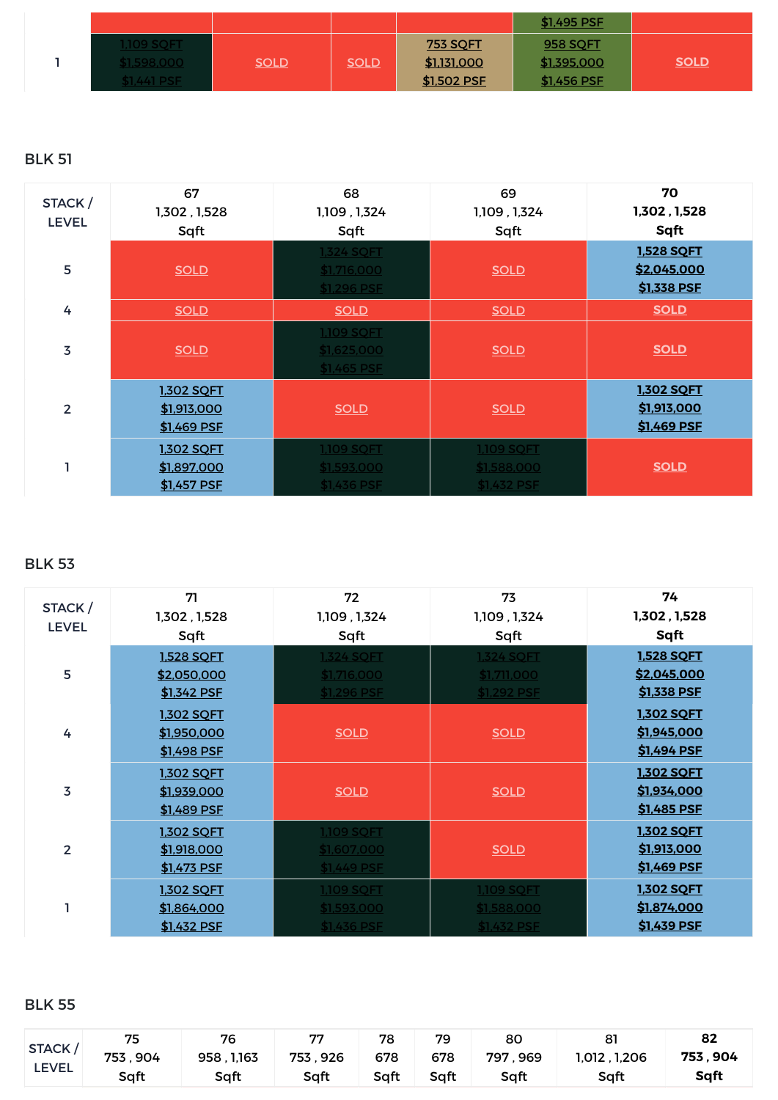|                                                 |             |             |                                               | \$1.495 PSF                                   |             |
|-------------------------------------------------|-------------|-------------|-----------------------------------------------|-----------------------------------------------|-------------|
| <u>1,109 SQFT</u><br>\$1,598,000<br>\$1,441 PSF | <u>SOLD</u> | <b>SOLD</b> | <b>753 SQFT</b><br>\$1,131,000<br>\$1,502 PSF | <b>958 SQFT</b><br>\$1.395.000<br>\$1.456 PSF | <u>SOLD</u> |

| STACK/<br><b>LEVEL</b> | 67<br>1,302, 1,528<br>Sqft               | 68<br>1,109, 1,324<br>Sqft               | 69<br>1,109, 1,324<br>Sqft               | 70<br>1,302, 1,528<br>Sqft                      |
|------------------------|------------------------------------------|------------------------------------------|------------------------------------------|-------------------------------------------------|
| 5                      | <b>SOLD</b>                              | 1,324 SQFT<br>\$1,716,000<br>\$1,296 PSF | <b>SOLD</b>                              | <b>1.528 SQFT</b><br>\$2,045,000<br>\$1,338 PSF |
| 4                      | <b>SOLD</b>                              | <b>SOLD</b>                              | <b>SOLD</b>                              | <b>SOLD</b>                                     |
| 3                      | <b>SOLD</b>                              | 1,109 SQFT<br>\$1,625,000<br>\$1,465 PSF | <b>SOLD</b>                              | <b>SOLD</b>                                     |
| $\overline{2}$         | 1,302 SQFT<br>\$1,913,000<br>\$1,469 PSF | <b>SOLD</b>                              | <b>SOLD</b>                              | 1,302 SQFT<br>\$1,913,000<br>\$1,469 PSF        |
|                        | 1,302 SQFT<br>\$1,897,000<br>\$1,457 PSF | 1,109 SQFT<br>\$1,593,000<br>\$1,436 PSF | 1.109 SOFT<br>\$1,588,000<br>\$1,432 PSF | <b>SOLD</b>                                     |

### BLK 53

| STACK/         | 71           | 72           | 73           | 74                 |
|----------------|--------------|--------------|--------------|--------------------|
| <b>LEVEL</b>   | 1,302, 1,528 | 1,109, 1,324 | 1,109, 1,324 | 1,302, 1,528       |
|                | Sqft         | Sqft         | Sqft         | Sqft               |
|                | 1,528 SQFT   | 1,324 SQFT   | 1,324 SQFT   | <u>1,528 SQFT</u>  |
| 5              | \$2,050,000  | \$1,716,000  | \$1,711,000  | \$2,045,000        |
|                | \$1,342 PSF  | \$1,296 PSF  | \$1,292 PSF  | \$1,338 PSF        |
|                | 1,302 SQFT   |              |              | 1,302 SQFT         |
| 4              | \$1,950,000  | <b>SOLD</b>  | <b>SOLD</b>  | \$1,945,000        |
|                | \$1,498 PSF  |              |              | \$1,494 PSF        |
|                | 1,302 SQFT   |              |              | <b>1.302 SQFT</b>  |
| 3              | \$1,939,000  | <b>SOLD</b>  | <b>SOLD</b>  | \$1,934,000        |
|                | \$1,489 PSF  |              |              | \$1,485 PSF        |
|                | 1,302 SQFT   | 1,109 SQFT   |              | <b>1,302 SQFT</b>  |
| $\overline{2}$ | \$1,918,000  | \$1,607,000  | <b>SOLD</b>  | \$1,913,000        |
|                | \$1,473 PSF  | \$1,449 PSF  |              | \$1,469 PSF        |
|                | 1,302 SQFT   | 1,109 SQFT   | 1,109 SQFT   | 1,302 SQFT         |
|                | \$1,864,000  | \$1,593,000  | \$1,588,000  | \$1,874,000        |
|                | \$1,432 PSF  | \$1,436 PSF  | \$1,432 PSF  | <u>\$1,439 PSF</u> |

| STACK/<br><b>LEVEL</b> | 753,904 | 76<br>958, 1, 163 | 77<br>753,926 | 78<br>678 | 79<br>678 | 80<br>797, 969 | 1,012, 1,206 | -82<br>753,904 |
|------------------------|---------|-------------------|---------------|-----------|-----------|----------------|--------------|----------------|
|                        | Saft    | Saft              | Saft          | Saft      | Saft      | Saft           | Saft         | Saft           |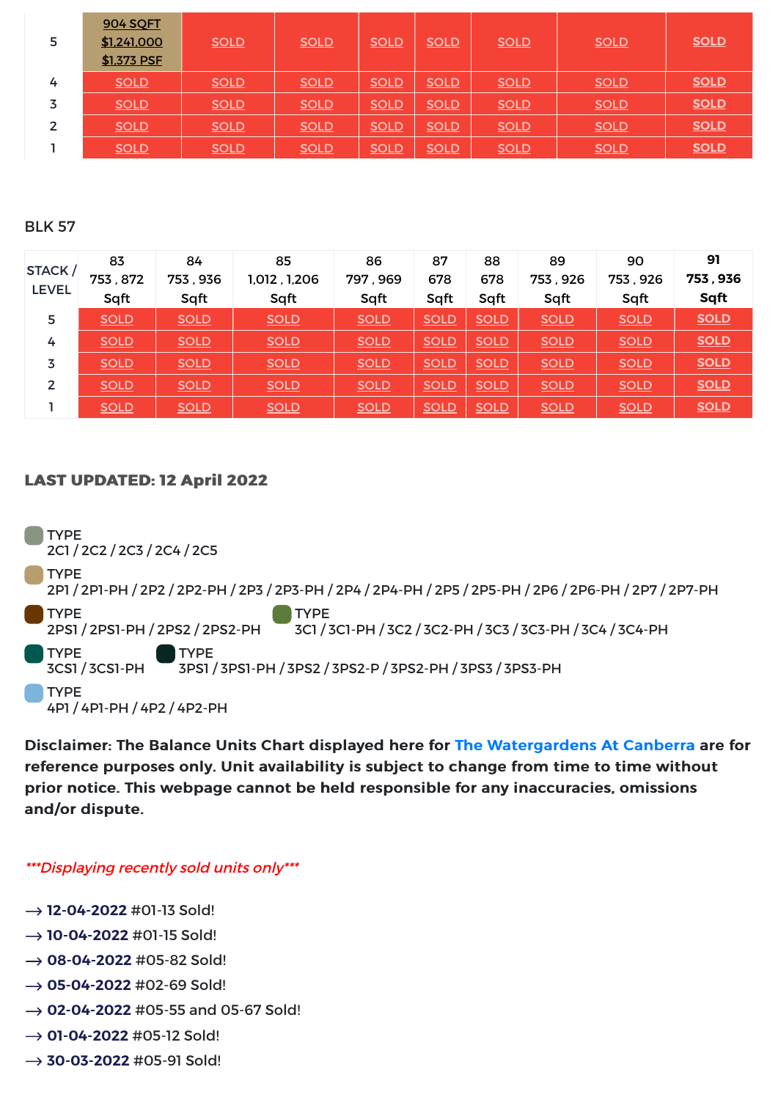|   | <b>904 SQFT</b> |             |             |             |             |             |             |             |
|---|-----------------|-------------|-------------|-------------|-------------|-------------|-------------|-------------|
|   | \$1,241,000     | <b>SOLD</b> | <b>SOLD</b> | <b>SOLD</b> | <b>SOLD</b> | <b>SOLD</b> | <u>SOLD</u> | <b>SOLD</b> |
|   | \$1,373 PSF     |             |             |             |             |             |             |             |
| 4 | <b>SOLD</b>     | <b>SOLD</b> | <b>SOLD</b> | <b>SOLD</b> | <b>SOLD</b> | <b>SOLD</b> | <b>SOLD</b> | <b>SOLD</b> |
|   | <b>SOLD</b>     | <b>SOLD</b> | <b>SOLD</b> | <b>SOLD</b> | <b>SOLD</b> | <b>SOLD</b> | <b>SOLD</b> | <b>SOLD</b> |
|   | <b>SOLD</b>     | <b>SOLD</b> | <b>SOLD</b> | <b>SOLD</b> | <b>SOLD</b> | <b>SOLD</b> | <b>SOLD</b> | <b>SOLD</b> |
|   | <b>SOLD</b>     | <b>SOLD</b> | <b>SOLD</b> | <b>SOLD</b> | <b>SOLD</b> | <b>SOLD</b> | <b>SOLD</b> | <b>SOLD</b> |

| STACK/<br><b>LEVEL</b> | 83<br>753.872<br>Sqft | 84<br>753,936<br>Sqft | 85<br>1,012, 1,206<br>Sqft | 86<br>797.969<br>Sqft | 87<br>678<br>Sqft | 88<br>678<br>Sqft | 89<br>753.926<br>Sqft | 90<br>753.926<br>Sqft | 91<br>753,936<br>Sqft |
|------------------------|-----------------------|-----------------------|----------------------------|-----------------------|-------------------|-------------------|-----------------------|-----------------------|-----------------------|
| 5                      | <b>SOLD</b>           | <b>SOLD</b>           | <b>SOLD</b>                | <b>SOLD</b>           | <b>SOLD</b>       | <b>SOLD</b>       | <b>SOLD</b>           | <b>SOLD</b>           | <b>SOLD</b>           |
| 4                      | <b>SOLD</b>           | <b>SOLD</b>           | <b>SOLD</b>                | <b>SOLD</b>           | <b>SOLD</b>       | <b>SOLD</b>       | <b>SOLD</b>           | <b>SOLD</b>           | <b>SOLD</b>           |
| 3                      | <b>SOLD</b>           | <b>SOLD</b>           | <b>SOLD</b>                | <b>SOLD</b>           | <b>SOLD</b>       | <b>SOLD</b>       | <b>SOLD</b>           | <b>SOLD</b>           | <b>SOLD</b>           |
| 2                      | <b>SOLD</b>           | <b>SOLD</b>           | <b>SOLD</b>                | <b>SOLD</b>           | <b>SOLD</b>       | <b>SOLD</b>       | <b>SOLD</b>           | <b>SOLD</b>           | <b>SOLD</b>           |
|                        | <b>SOLD</b>           | <b>SOLD</b>           | <b>SOLD</b>                | <b>SOLD</b>           | <b>SOLD</b>       | <b>SOLD</b>       | <b>SOLD</b>           | <b>SOLD</b>           | <b>SOLD</b>           |

#### **LAST UPDATED: 12 April 2022 UPDATED: 12 April 2022**



Disclaimer: The Balance Units Chart displayed here for The Watergardens At Canberra are for reference purposes only. Unit availability is subject to change from time to time without prior notice. This webpage cannot be held responsible for any inaccuracies, omissions and/or dispute.

#### \*\*\*Displaying recently sold units only\*\*\*

- → 12-04-2022 #01-13 Sold!
- → 10-04-2022 #01-15 Sold!
- **→ 08-04-2022** #05-82 Sold!
- **→ 05-04-2022** #02-69 Sold!
- → 02-04-2022 #05-55 and 05-67 Sold!
- **01-04-2022** #05-12 Sold!
- → 30-03-2022 #05-91 Sold!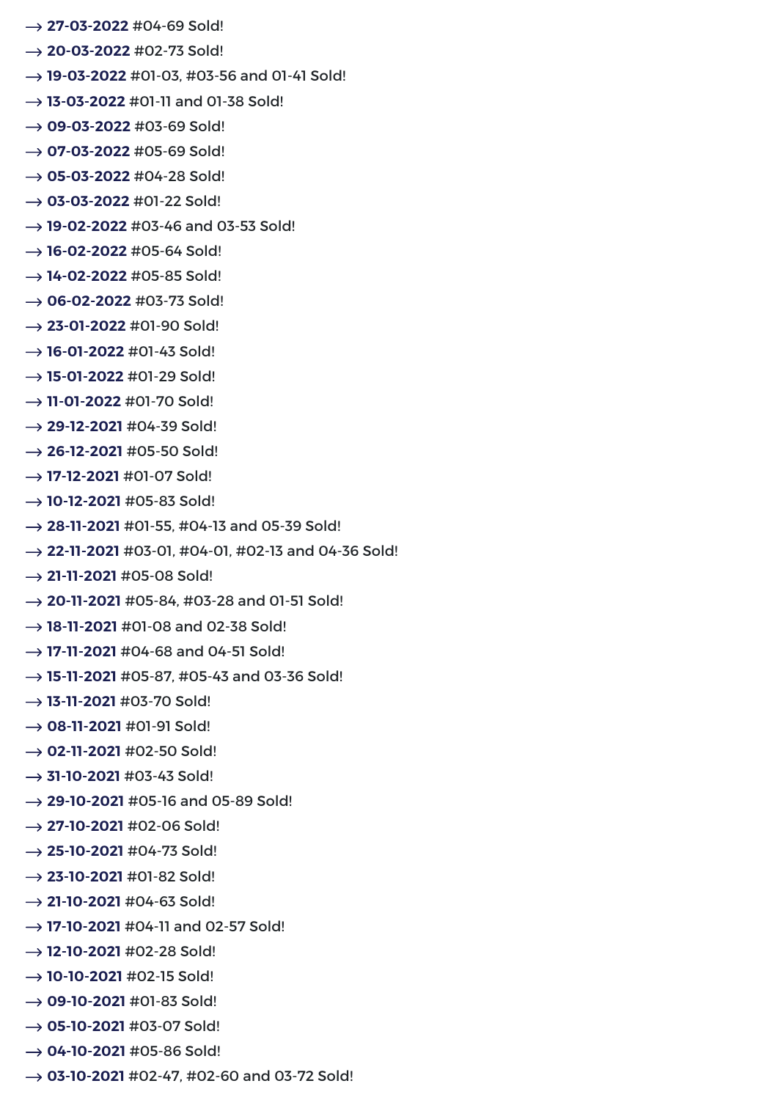- $\rightarrow$  **27-03-2022** #04-69 Sold!
- $\rightarrow$  **20-03-2022** #02-73 Sold!
- → 19-03-2022 #01-03, #03-56 and 01-41 Sold!
- → 13-03-2022 #01-11 and 01-38 Sold!
- **→ 09-03-2022** #03-69 Sold!
- **→ 07-03-2022** #05-69 Sold!
- **→ 05-03-2022** #04-28 Sold!
- **→ 03-03-2022** #01-22 Sold!
- → **19-02-2022** #03-46 and 03-53 Sold!
- → 16-02-2022 #05-64 Sold!
- → 14-02-2022 #05-85 Sold!
- → 06-02-2022 #03-73 Sold!
- $\rightarrow$  **23-01-2022** #01-90 Sold!
- → 16-01-2022 #01-43 Sold!
- → 15-01-2022 #01-29 Sold!
- → 11-01-2022 #01-70 Sold!
- $\rightarrow$  29-12-2021 #04-39 Sold!
- $\rightarrow$  **26-12-2021** #05-50 Sold!
- → 17-12-2021 #01-07 Sold!
- → 10-12-2021 #05-83 Sold!
- → 28-11-2021 #01-55, #04-13 and 05-39 Sold!
- → 22-11-2021 #03-01, #04-01, #02-13 and 04-36 Sold!
- $\rightarrow$  **21-11-2021** #05-08 Sold!
- → 20-11-2021 #05-84, #03-28 and 01-51 Sold!
- → 18-11-2021 #01-08 and 02-38 Sold!
- → 17-11-2021 #04-68 and 04-51 Sold!
- → 15-11-2021 #05-87, #05-43 and 03-36 Sold!
- → 13-11-2021 #03-70 Sold!
- → 08-11-2021 #01-91 Sold!
- **02-11-2021** #02-50 Sold!
- → **31-10-2021** #03-43 Sold!
- → 29-10-2021 #05-16 and 05-89 Sold!
- $\rightarrow$  **27-10-2021** #02-06 Sold!
- $\rightarrow$  **25-10-2021** #04-73 Sold!
- $\rightarrow$  **23-10-2021** #01-82 Sold!
- $\rightarrow$  21-10-2021 #04-63 Sold!
- → 17-10-2021 #04-11 and 02-57 Sold!
- → 12-10-2021 #02-28 Sold!
- → 10-10-2021 #02-15 Sold!
- → 09-10-2021 #01-83 Sold!
- → 05-10-2021 #03-07 Sold!
- **→ 04-10-2021** #05-86 Sold!
- → **03-10-2021** #02-47, #02-60 and 03-72 Sold!